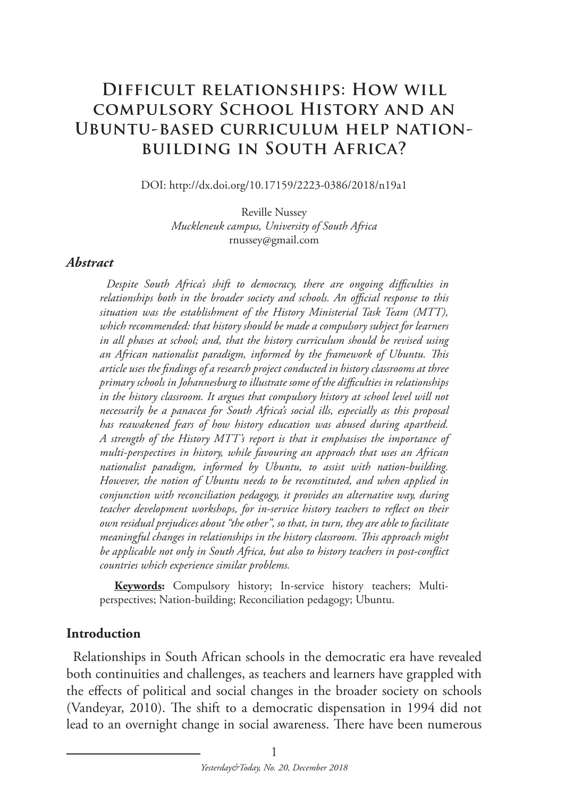# **Difficult relationships: How will compulsory School History and an Ubuntu-based curriculum help nationbuilding in South Africa?**

DOI: http://dx.doi.org/10.17159/2223-0386/2018/n19a1

Reville Nussey *Muckleneuk campus, University of South Africa*  rnussey@gmail.com

#### *Abstract*

*Despite South Africa's shift to democracy, there are ongoing difficulties in relationships both in the broader society and schools. An official response to this situation was the establishment of the History Ministerial Task Team (MTT), which recommended: that history should be made a compulsory subject for learners in all phases at school; and, that the history curriculum should be revised using an African nationalist paradigm, informed by the framework of Ubuntu. This article uses the findings of a research project conducted in history classrooms at three primary schools in Johannesburg to illustrate some of the difficulties in relationships in the history classroom. It argues that compulsory history at school level will not necessarily be a panacea for South Africa's social ills, especially as this proposal has reawakened fears of how history education was abused during apartheid. A strength of the History MTT's report is that it emphasises the importance of multi-perspectives in history, while favouring an approach that uses an African nationalist paradigm, informed by Ubuntu, to assist with nation-building. However, the notion of Ubuntu needs to be reconstituted, and when applied in conjunction with reconciliation pedagogy, it provides an alternative way, during teacher development workshops, for in-service history teachers to reflect on their own residual prejudices about "the other", so that, in turn, they are able to facilitate meaningful changes in relationships in the history classroom. This approach might be applicable not only in South Africa, but also to history teachers in post-conflict countries which experience similar problems.*

**Keywords:** Compulsory history; In-service history teachers; Multiperspectives; Nation-building; Reconciliation pedagogy; Ubuntu.

#### **Introduction**

Relationships in South African schools in the democratic era have revealed both continuities and challenges, as teachers and learners have grappled with the effects of political and social changes in the broader society on schools (Vandeyar, 2010). The shift to a democratic dispensation in 1994 did not lead to an overnight change in social awareness. There have been numerous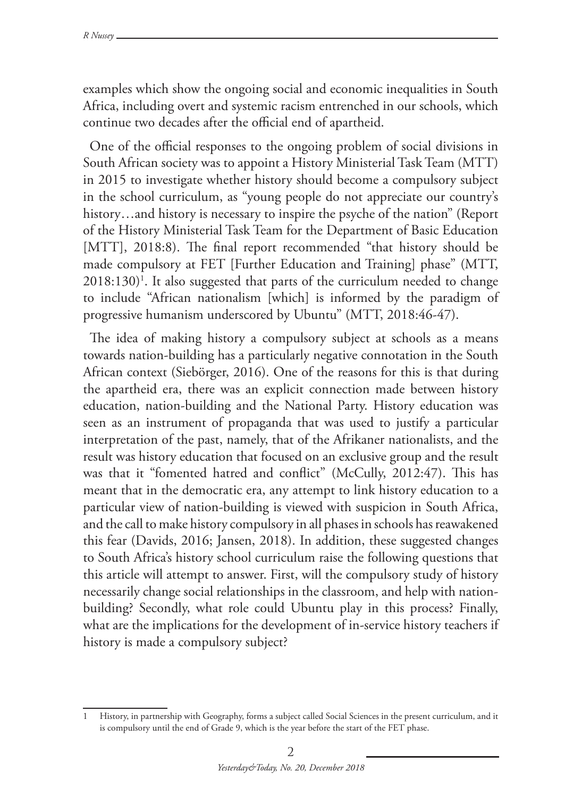examples which show the ongoing social and economic inequalities in South Africa, including overt and systemic racism entrenched in our schools, which continue two decades after the official end of apartheid.

One of the official responses to the ongoing problem of social divisions in South African society was to appoint a History Ministerial Task Team (MTT) in 2015 to investigate whether history should become a compulsory subject in the school curriculum, as "young people do not appreciate our country's history...and history is necessary to inspire the psyche of the nation" (Report of the History Ministerial Task Team for the Department of Basic Education [MTT], 2018:8). The final report recommended "that history should be made compulsory at FET [Further Education and Training] phase" (MTT,  $2018:130$ <sup>1</sup>. It also suggested that parts of the curriculum needed to change to include "African nationalism [which] is informed by the paradigm of progressive humanism underscored by Ubuntu" (MTT, 2018:46-47).

The idea of making history a compulsory subject at schools as a means towards nation-building has a particularly negative connotation in the South African context (Siebörger, 2016). One of the reasons for this is that during the apartheid era, there was an explicit connection made between history education, nation-building and the National Party. History education was seen as an instrument of propaganda that was used to justify a particular interpretation of the past, namely, that of the Afrikaner nationalists, and the result was history education that focused on an exclusive group and the result was that it "fomented hatred and conflict" (McCully, 2012:47). This has meant that in the democratic era, any attempt to link history education to a particular view of nation-building is viewed with suspicion in South Africa, and the call to make history compulsory in all phases in schools has reawakened this fear (Davids, 2016; Jansen, 2018). In addition, these suggested changes to South Africa's history school curriculum raise the following questions that this article will attempt to answer. First, will the compulsory study of history necessarily change social relationships in the classroom, and help with nationbuilding? Secondly, what role could Ubuntu play in this process? Finally, what are the implications for the development of in-service history teachers if history is made a compulsory subject?

<sup>1</sup> History, in partnership with Geography, forms a subject called Social Sciences in the present curriculum, and it is compulsory until the end of Grade 9, which is the year before the start of the FET phase.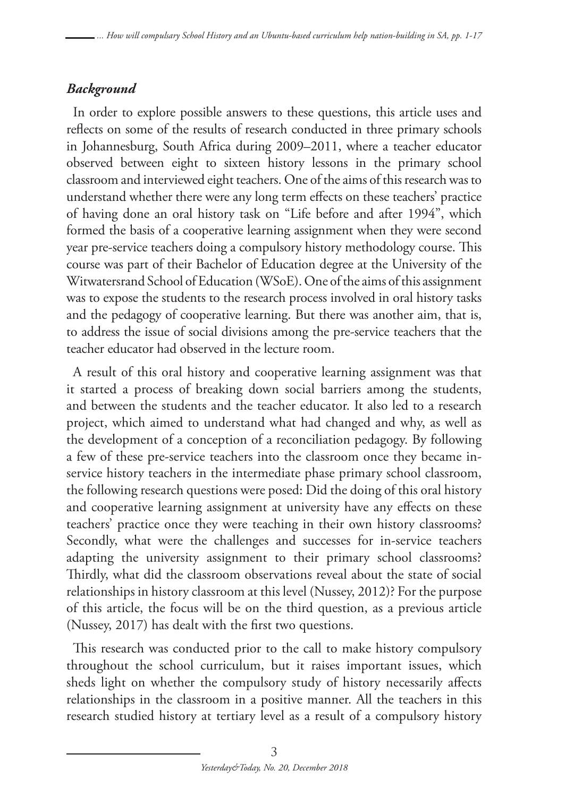# *Background*

In order to explore possible answers to these questions, this article uses and reflects on some of the results of research conducted in three primary schools in Johannesburg, South Africa during 2009–2011, where a teacher educator observed between eight to sixteen history lessons in the primary school classroom and interviewed eight teachers. One of the aims of this research was to understand whether there were any long term effects on these teachers' practice of having done an oral history task on "Life before and after 1994", which formed the basis of a cooperative learning assignment when they were second year pre-service teachers doing a compulsory history methodology course. This course was part of their Bachelor of Education degree at the University of the Witwatersrand School of Education (WSoE). One of the aims of this assignment was to expose the students to the research process involved in oral history tasks and the pedagogy of cooperative learning. But there was another aim, that is, to address the issue of social divisions among the pre-service teachers that the teacher educator had observed in the lecture room.

A result of this oral history and cooperative learning assignment was that it started a process of breaking down social barriers among the students, and between the students and the teacher educator. It also led to a research project, which aimed to understand what had changed and why, as well as the development of a conception of a reconciliation pedagogy. By following a few of these pre-service teachers into the classroom once they became inservice history teachers in the intermediate phase primary school classroom, the following research questions were posed: Did the doing of this oral history and cooperative learning assignment at university have any effects on these teachers' practice once they were teaching in their own history classrooms? Secondly, what were the challenges and successes for in-service teachers adapting the university assignment to their primary school classrooms? Thirdly, what did the classroom observations reveal about the state of social relationships in history classroom at this level (Nussey, 2012)? For the purpose of this article, the focus will be on the third question, as a previous article (Nussey, 2017) has dealt with the first two questions.

This research was conducted prior to the call to make history compulsory throughout the school curriculum, but it raises important issues, which sheds light on whether the compulsory study of history necessarily affects relationships in the classroom in a positive manner. All the teachers in this research studied history at tertiary level as a result of a compulsory history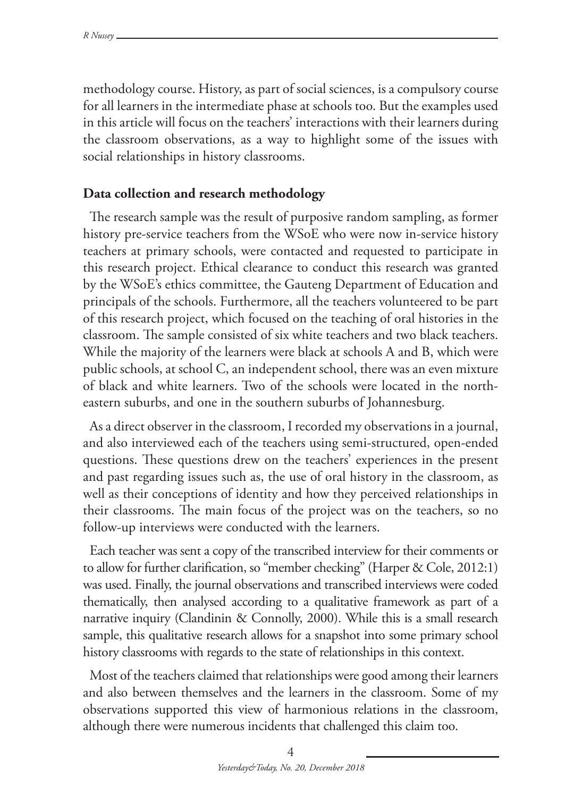methodology course. History, as part of social sciences, is a compulsory course for all learners in the intermediate phase at schools too. But the examples used in this article will focus on the teachers' interactions with their learners during the classroom observations, as a way to highlight some of the issues with social relationships in history classrooms.

#### **Data collection and research methodology**

The research sample was the result of purposive random sampling, as former history pre-service teachers from the WSoE who were now in-service history teachers at primary schools, were contacted and requested to participate in this research project. Ethical clearance to conduct this research was granted by the WSoE's ethics committee, the Gauteng Department of Education and principals of the schools. Furthermore, all the teachers volunteered to be part of this research project, which focused on the teaching of oral histories in the classroom. The sample consisted of six white teachers and two black teachers. While the majority of the learners were black at schools A and B, which were public schools, at school C, an independent school, there was an even mixture of black and white learners. Two of the schools were located in the northeastern suburbs, and one in the southern suburbs of Johannesburg.

As a direct observer in the classroom, I recorded my observations in a journal, and also interviewed each of the teachers using semi-structured, open-ended questions. These questions drew on the teachers' experiences in the present and past regarding issues such as, the use of oral history in the classroom, as well as their conceptions of identity and how they perceived relationships in their classrooms. The main focus of the project was on the teachers, so no follow-up interviews were conducted with the learners.

Each teacher was sent a copy of the transcribed interview for their comments or to allow for further clarification, so "member checking" (Harper & Cole, 2012:1) was used. Finally, the journal observations and transcribed interviews were coded thematically, then analysed according to a qualitative framework as part of a narrative inquiry (Clandinin & Connolly, 2000). While this is a small research sample, this qualitative research allows for a snapshot into some primary school history classrooms with regards to the state of relationships in this context.

Most of the teachers claimed that relationships were good among their learners and also between themselves and the learners in the classroom. Some of my observations supported this view of harmonious relations in the classroom, although there were numerous incidents that challenged this claim too.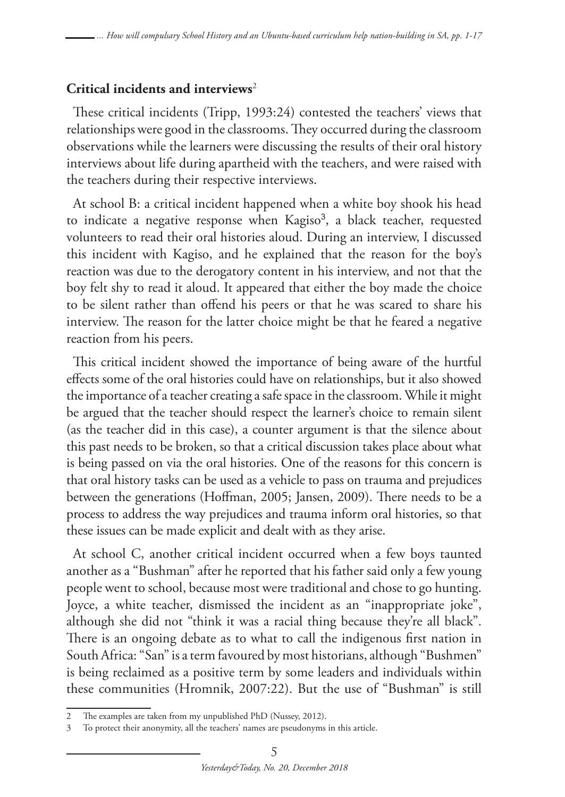# **Critical incidents and interviews**<sup>2</sup>

These critical incidents (Tripp, 1993:24) contested the teachers' views that relationships were good in the classrooms. They occurred during the classroom observations while the learners were discussing the results of their oral history interviews about life during apartheid with the teachers, and were raised with the teachers during their respective interviews.

At school B: a critical incident happened when a white boy shook his head to indicate a negative response when Kagiso<sup>3</sup>, a black teacher, requested volunteers to read their oral histories aloud. During an interview, I discussed this incident with Kagiso, and he explained that the reason for the boy's reaction was due to the derogatory content in his interview, and not that the boy felt shy to read it aloud. It appeared that either the boy made the choice to be silent rather than offend his peers or that he was scared to share his interview. The reason for the latter choice might be that he feared a negative reaction from his peers.

This critical incident showed the importance of being aware of the hurtful effects some of the oral histories could have on relationships, but it also showed the importance of a teacher creating a safe space in the classroom. While it might be argued that the teacher should respect the learner's choice to remain silent (as the teacher did in this case), a counter argument is that the silence about this past needs to be broken, so that a critical discussion takes place about what is being passed on via the oral histories. One of the reasons for this concern is that oral history tasks can be used as a vehicle to pass on trauma and prejudices between the generations (Hoffman, 2005; Jansen, 2009). There needs to be a process to address the way prejudices and trauma inform oral histories, so that these issues can be made explicit and dealt with as they arise.

At school C, another critical incident occurred when a few boys taunted another as a "Bushman" after he reported that his father said only a few young people went to school, because most were traditional and chose to go hunting. Joyce, a white teacher, dismissed the incident as an "inappropriate joke", although she did not "think it was a racial thing because they're all black". There is an ongoing debate as to what to call the indigenous first nation in South Africa: "San" is a term favoured by most historians, although "Bushmen" is being reclaimed as a positive term by some leaders and individuals within these communities (Hromnik, 2007:22). But the use of "Bushman" is still

The examples are taken from my unpublished PhD (Nussey, 2012).

<sup>3</sup> To protect their anonymity, all the teachers' names are pseudonyms in this article.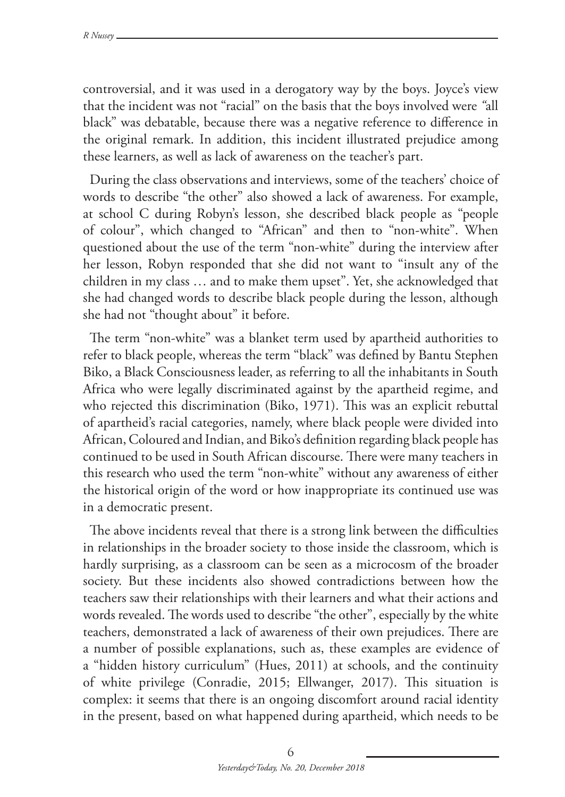controversial, and it was used in a derogatory way by the boys. Joyce's view that the incident was not "racial" on the basis that the boys involved were *"*all black" was debatable, because there was a negative reference to difference in the original remark. In addition, this incident illustrated prejudice among these learners, as well as lack of awareness on the teacher's part.

During the class observations and interviews, some of the teachers' choice of words to describe "the other" also showed a lack of awareness. For example, at school C during Robyn's lesson, she described black people as "people of colour", which changed to "African" and then to "non-white". When questioned about the use of the term "non-white" during the interview after her lesson, Robyn responded that she did not want to "insult any of the children in my class … and to make them upset". Yet, she acknowledged that she had changed words to describe black people during the lesson, although she had not "thought about" it before.

The term "non-white" was a blanket term used by apartheid authorities to refer to black people, whereas the term "black" was defined by Bantu Stephen Biko, a Black Consciousness leader, as referring to all the inhabitants in South Africa who were legally discriminated against by the apartheid regime, and who rejected this discrimination (Biko, 1971). This was an explicit rebuttal of apartheid's racial categories, namely, where black people were divided into African, Coloured and Indian, and Biko's definition regarding black people has continued to be used in South African discourse. There were many teachers in this research who used the term "non-white" without any awareness of either the historical origin of the word or how inappropriate its continued use was in a democratic present.

The above incidents reveal that there is a strong link between the difficulties in relationships in the broader society to those inside the classroom, which is hardly surprising, as a classroom can be seen as a microcosm of the broader society. But these incidents also showed contradictions between how the teachers saw their relationships with their learners and what their actions and words revealed. The words used to describe "the other", especially by the white teachers, demonstrated a lack of awareness of their own prejudices. There are a number of possible explanations, such as, these examples are evidence of a "hidden history curriculum" (Hues, 2011) at schools, and the continuity of white privilege (Conradie, 2015; Ellwanger, 2017). This situation is complex: it seems that there is an ongoing discomfort around racial identity in the present, based on what happened during apartheid, which needs to be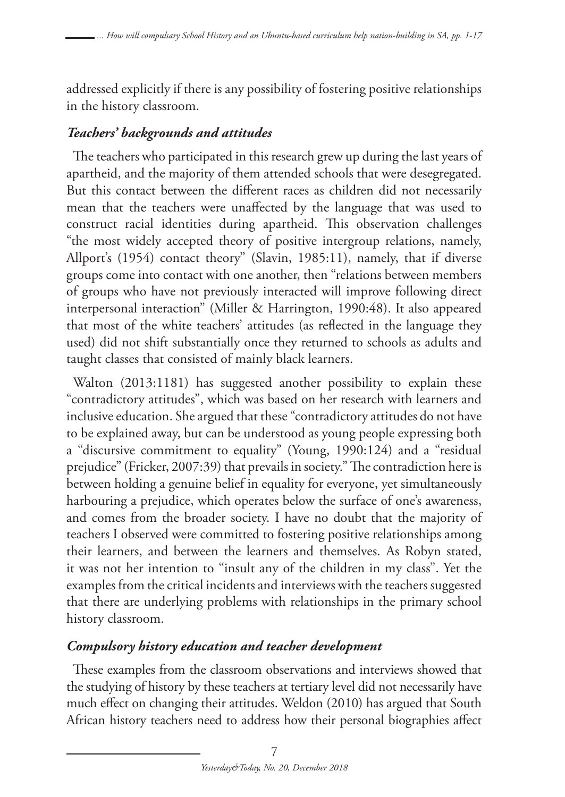addressed explicitly if there is any possibility of fostering positive relationships in the history classroom.

# *Teachers' backgrounds and attitudes*

The teachers who participated in this research grew up during the last years of apartheid, and the majority of them attended schools that were desegregated. But this contact between the different races as children did not necessarily mean that the teachers were unaffected by the language that was used to construct racial identities during apartheid. This observation challenges "the most widely accepted theory of positive intergroup relations, namely, Allport's (1954) contact theory" (Slavin, 1985:11), namely, that if diverse groups come into contact with one another, then "relations between members of groups who have not previously interacted will improve following direct interpersonal interaction" (Miller & Harrington, 1990:48). It also appeared that most of the white teachers' attitudes (as reflected in the language they used) did not shift substantially once they returned to schools as adults and taught classes that consisted of mainly black learners.

Walton (2013:1181) has suggested another possibility to explain these "contradictory attitudes", which was based on her research with learners and inclusive education. She argued that these "contradictory attitudes do not have to be explained away, but can be understood as young people expressing both a "discursive commitment to equality" (Young, 1990:124) and a "residual prejudice" (Fricker, 2007:39) that prevails in society." The contradiction here is between holding a genuine belief in equality for everyone, yet simultaneously harbouring a prejudice, which operates below the surface of one's awareness, and comes from the broader society. I have no doubt that the majority of teachers I observed were committed to fostering positive relationships among their learners, and between the learners and themselves. As Robyn stated, it was not her intention to "insult any of the children in my class". Yet the examples from the critical incidents and interviews with the teachers suggested that there are underlying problems with relationships in the primary school history classroom.

### *Compulsory history education and teacher development*

These examples from the classroom observations and interviews showed that the studying of history by these teachers at tertiary level did not necessarily have much effect on changing their attitudes. Weldon (2010) has argued that South African history teachers need to address how their personal biographies affect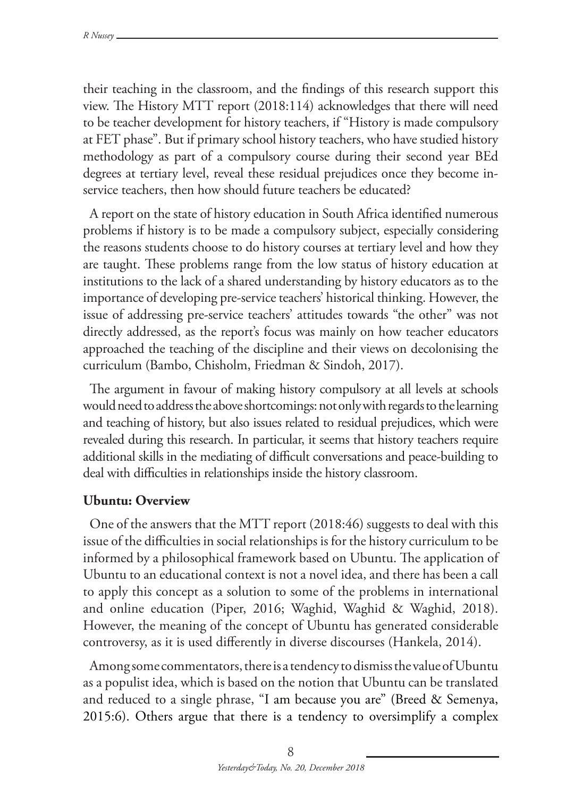their teaching in the classroom, and the findings of this research support this view. The History MTT report (2018:114) acknowledges that there will need to be teacher development for history teachers, if "History is made compulsory at FET phase". But if primary school history teachers, who have studied history methodology as part of a compulsory course during their second year BEd degrees at tertiary level, reveal these residual prejudices once they become inservice teachers, then how should future teachers be educated?

A report on the state of history education in South Africa identified numerous problems if history is to be made a compulsory subject, especially considering the reasons students choose to do history courses at tertiary level and how they are taught. These problems range from the low status of history education at institutions to the lack of a shared understanding by history educators as to the importance of developing pre-service teachers' historical thinking. However, the issue of addressing pre-service teachers' attitudes towards "the other" was not directly addressed, as the report's focus was mainly on how teacher educators approached the teaching of the discipline and their views on decolonising the curriculum (Bambo, Chisholm, Friedman & Sindoh, 2017).

The argument in favour of making history compulsory at all levels at schools would need to address the above shortcomings: not only with regards to the learning and teaching of history, but also issues related to residual prejudices, which were revealed during this research. In particular, it seems that history teachers require additional skills in the mediating of difficult conversations and peace-building to deal with difficulties in relationships inside the history classroom.

#### **Ubuntu: Overview**

One of the answers that the MTT report (2018:46) suggests to deal with this issue of the difficulties in social relationships is for the history curriculum to be informed by a philosophical framework based on Ubuntu. The application of Ubuntu to an educational context is not a novel idea, and there has been a call to apply this concept as a solution to some of the problems in international and online education (Piper, 2016; Waghid, Waghid & Waghid, 2018). However, the meaning of the concept of Ubuntu has generated considerable controversy, as it is used differently in diverse discourses (Hankela, 2014).

Among some commentators, there is a tendency to dismiss the value of Ubuntu as a populist idea, which is based on the notion that Ubuntu can be translated and reduced to a single phrase, "I am because you are" (Breed & Semenya, 2015:6). Others argue that there is a tendency to oversimplify a complex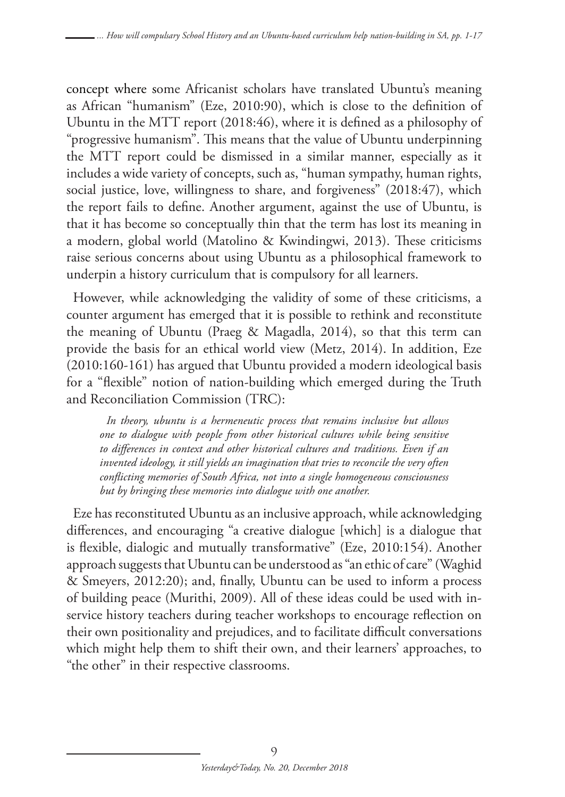concept where some Africanist scholars have translated Ubuntu's meaning as African "humanism" (Eze, 2010:90), which is close to the definition of Ubuntu in the MTT report (2018:46), where it is defined as a philosophy of "progressive humanism". This means that the value of Ubuntu underpinning the MTT report could be dismissed in a similar manner, especially as it includes a wide variety of concepts, such as, "human sympathy, human rights, social justice, love, willingness to share, and forgiveness" (2018:47), which the report fails to define. Another argument, against the use of Ubuntu, is that it has become so conceptually thin that the term has lost its meaning in a modern, global world (Matolino & Kwindingwi, 2013). These criticisms raise serious concerns about using Ubuntu as a philosophical framework to underpin a history curriculum that is compulsory for all learners.

However, while acknowledging the validity of some of these criticisms, a counter argument has emerged that it is possible to rethink and reconstitute the meaning of Ubuntu (Praeg & Magadla, 2014), so that this term can provide the basis for an ethical world view (Metz, 2014). In addition, Eze (2010:160-161) has argued that Ubuntu provided a modern ideological basis for a "flexible" notion of nation-building which emerged during the Truth and Reconciliation Commission (TRC):

*In theory, ubuntu is a hermeneutic process that remains inclusive but allows one to dialogue with people from other historical cultures while being sensitive to differences in context and other historical cultures and traditions. Even if an invented ideology, it still yields an imagination that tries to reconcile the very often conflicting memories of South Africa, not into a single homogeneous consciousness but by bringing these memories into dialogue with one another.*

Eze has reconstituted Ubuntu as an inclusive approach, while acknowledging differences, and encouraging "a creative dialogue [which] is a dialogue that is flexible, dialogic and mutually transformative" (Eze, 2010:154). Another approach suggests that Ubuntu can be understood as "an ethic of care" (Waghid & Smeyers, 2012:20); and, finally, Ubuntu can be used to inform a process of building peace (Murithi, 2009). All of these ideas could be used with inservice history teachers during teacher workshops to encourage reflection on their own positionality and prejudices, and to facilitate difficult conversations which might help them to shift their own, and their learners' approaches, to "the other" in their respective classrooms.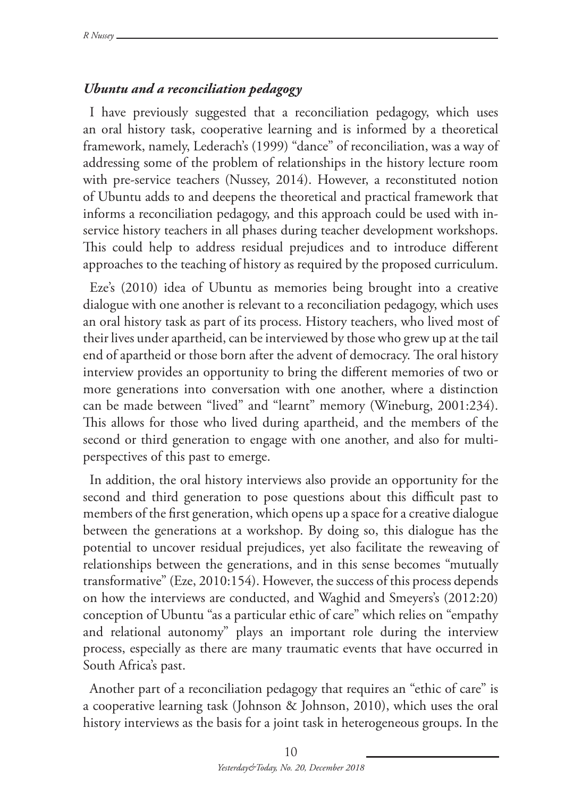# *Ubuntu and a reconciliation pedagogy*

I have previously suggested that a reconciliation pedagogy, which uses an oral history task, cooperative learning and is informed by a theoretical framework, namely, Lederach's (1999) "dance" of reconciliation, was a way of addressing some of the problem of relationships in the history lecture room with pre-service teachers (Nussey, 2014). However, a reconstituted notion of Ubuntu adds to and deepens the theoretical and practical framework that informs a reconciliation pedagogy, and this approach could be used with inservice history teachers in all phases during teacher development workshops. This could help to address residual prejudices and to introduce different approaches to the teaching of history as required by the proposed curriculum.

Eze's (2010) idea of Ubuntu as memories being brought into a creative dialogue with one another is relevant to a reconciliation pedagogy, which uses an oral history task as part of its process. History teachers, who lived most of their lives under apartheid, can be interviewed by those who grew up at the tail end of apartheid or those born after the advent of democracy. The oral history interview provides an opportunity to bring the different memories of two or more generations into conversation with one another, where a distinction can be made between "lived" and "learnt" memory (Wineburg, 2001:234). This allows for those who lived during apartheid, and the members of the second or third generation to engage with one another, and also for multiperspectives of this past to emerge.

In addition, the oral history interviews also provide an opportunity for the second and third generation to pose questions about this difficult past to members of the first generation, which opens up a space for a creative dialogue between the generations at a workshop. By doing so, this dialogue has the potential to uncover residual prejudices, yet also facilitate the reweaving of relationships between the generations, and in this sense becomes "mutually transformative" (Eze, 2010:154). However, the success of this process depends on how the interviews are conducted, and Waghid and Smeyers's (2012:20) conception of Ubuntu "as a particular ethic of care" which relies on "empathy and relational autonomy" plays an important role during the interview process, especially as there are many traumatic events that have occurred in South Africa's past.

Another part of a reconciliation pedagogy that requires an "ethic of care" is a cooperative learning task (Johnson & Johnson, 2010), which uses the oral history interviews as the basis for a joint task in heterogeneous groups. In the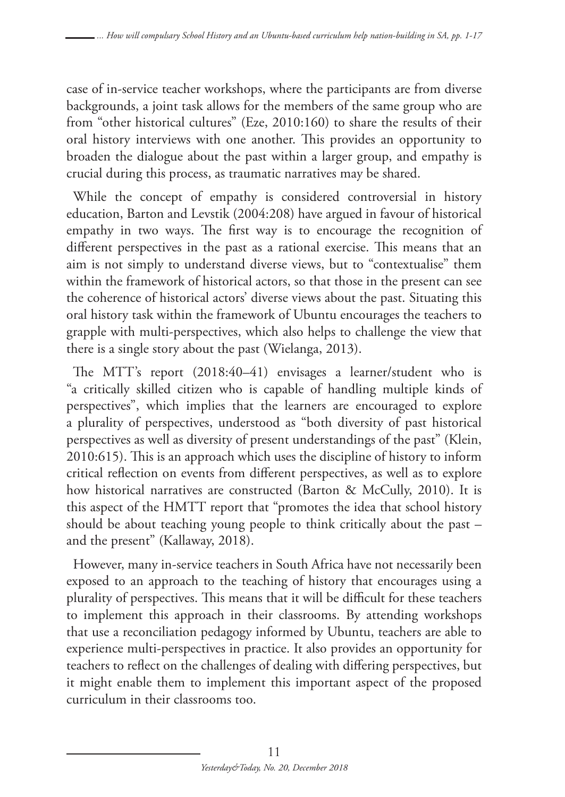case of in-service teacher workshops, where the participants are from diverse backgrounds, a joint task allows for the members of the same group who are from "other historical cultures" (Eze, 2010:160) to share the results of their oral history interviews with one another. This provides an opportunity to broaden the dialogue about the past within a larger group, and empathy is crucial during this process, as traumatic narratives may be shared.

While the concept of empathy is considered controversial in history education, Barton and Levstik (2004:208) have argued in favour of historical empathy in two ways. The first way is to encourage the recognition of different perspectives in the past as a rational exercise. This means that an aim is not simply to understand diverse views, but to "contextualise" them within the framework of historical actors, so that those in the present can see the coherence of historical actors' diverse views about the past. Situating this oral history task within the framework of Ubuntu encourages the teachers to grapple with multi-perspectives, which also helps to challenge the view that there is a single story about the past (Wielanga, 2013).

The MTT's report (2018:40–41) envisages a learner/student who is "a critically skilled citizen who is capable of handling multiple kinds of perspectives", which implies that the learners are encouraged to explore a plurality of perspectives, understood as "both diversity of past historical perspectives as well as diversity of present understandings of the past" (Klein, 2010:615). This is an approach which uses the discipline of history to inform critical reflection on events from different perspectives, as well as to explore how historical narratives are constructed (Barton & McCully, 2010). It is this aspect of the HMTT report that "promotes the idea that school history should be about teaching young people to think critically about the past – and the present" (Kallaway, 2018).

However, many in-service teachers in South Africa have not necessarily been exposed to an approach to the teaching of history that encourages using a plurality of perspectives. This means that it will be difficult for these teachers to implement this approach in their classrooms. By attending workshops that use a reconciliation pedagogy informed by Ubuntu, teachers are able to experience multi-perspectives in practice. It also provides an opportunity for teachers to reflect on the challenges of dealing with differing perspectives, but it might enable them to implement this important aspect of the proposed curriculum in their classrooms too.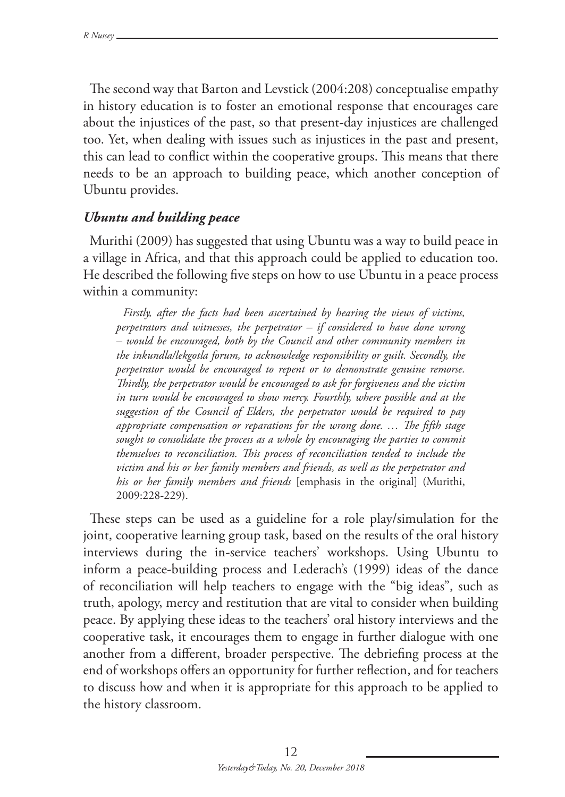The second way that Barton and Levstick (2004:208) conceptualise empathy in history education is to foster an emotional response that encourages care about the injustices of the past, so that present-day injustices are challenged too. Yet, when dealing with issues such as injustices in the past and present, this can lead to conflict within the cooperative groups. This means that there needs to be an approach to building peace, which another conception of Ubuntu provides.

#### *Ubuntu and building peace*

Murithi (2009) has suggested that using Ubuntu was a way to build peace in a village in Africa, and that this approach could be applied to education too. He described the following five steps on how to use Ubuntu in a peace process within a community:

*Firstly, after the facts had been ascertained by hearing the views of victims, perpetrators and witnesses, the perpetrator – if considered to have done wrong – would be encouraged, both by the Council and other community members in the inkundla/lekgotla forum, to acknowledge responsibility or guilt. Secondly, the perpetrator would be encouraged to repent or to demonstrate genuine remorse. Thirdly, the perpetrator would be encouraged to ask for forgiveness and the victim in turn would be encouraged to show mercy. Fourthly, where possible and at the suggestion of the Council of Elders, the perpetrator would be required to pay appropriate compensation or reparations for the wrong done. … The fifth stage*  sought to consolidate the process as a whole by encouraging the parties to commit *themselves to reconciliation. This process of reconciliation tended to include the victim and his or her family members and friends, as well as the perpetrator and his or her family members and friends* [emphasis in the original] (Murithi, 2009:228-229).

These steps can be used as a guideline for a role play/simulation for the joint, cooperative learning group task, based on the results of the oral history interviews during the in-service teachers' workshops. Using Ubuntu to inform a peace-building process and Lederach's (1999) ideas of the dance of reconciliation will help teachers to engage with the "big ideas", such as truth, apology, mercy and restitution that are vital to consider when building peace. By applying these ideas to the teachers' oral history interviews and the cooperative task, it encourages them to engage in further dialogue with one another from a different, broader perspective. The debriefing process at the end of workshops offers an opportunity for further reflection, and for teachers to discuss how and when it is appropriate for this approach to be applied to the history classroom.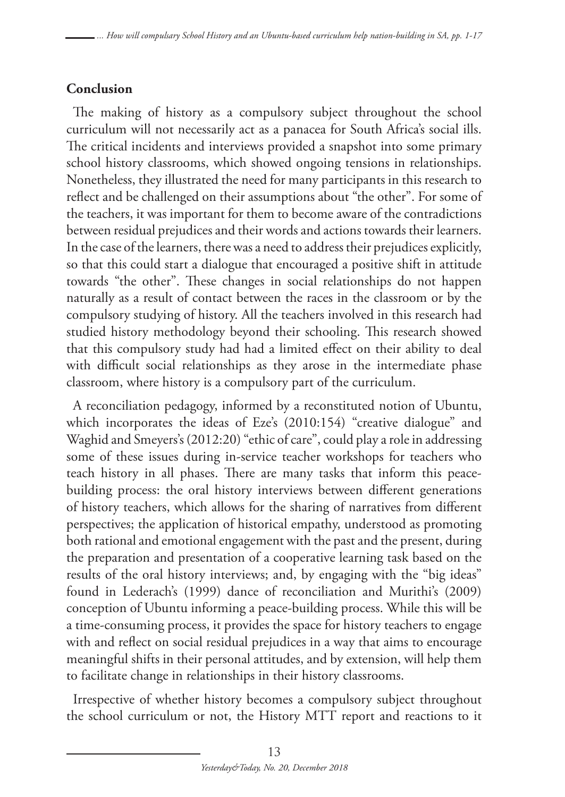### **Conclusion**

The making of history as a compulsory subject throughout the school curriculum will not necessarily act as a panacea for South Africa's social ills. The critical incidents and interviews provided a snapshot into some primary school history classrooms, which showed ongoing tensions in relationships. Nonetheless, they illustrated the need for many participants in this research to reflect and be challenged on their assumptions about "the other". For some of the teachers, it was important for them to become aware of the contradictions between residual prejudices and their words and actions towards their learners. In the case of the learners, there was a need to address their prejudices explicitly, so that this could start a dialogue that encouraged a positive shift in attitude towards "the other". These changes in social relationships do not happen naturally as a result of contact between the races in the classroom or by the compulsory studying of history. All the teachers involved in this research had studied history methodology beyond their schooling. This research showed that this compulsory study had had a limited effect on their ability to deal with difficult social relationships as they arose in the intermediate phase classroom, where history is a compulsory part of the curriculum.

A reconciliation pedagogy, informed by a reconstituted notion of Ubuntu, which incorporates the ideas of Eze's (2010:154) "creative dialogue" and Waghid and Smeyers's (2012:20) "ethic of care", could play a role in addressing some of these issues during in-service teacher workshops for teachers who teach history in all phases. There are many tasks that inform this peacebuilding process: the oral history interviews between different generations of history teachers, which allows for the sharing of narratives from different perspectives; the application of historical empathy, understood as promoting both rational and emotional engagement with the past and the present, during the preparation and presentation of a cooperative learning task based on the results of the oral history interviews; and, by engaging with the "big ideas" found in Lederach's (1999) dance of reconciliation and Murithi's (2009) conception of Ubuntu informing a peace-building process. While this will be a time-consuming process, it provides the space for history teachers to engage with and reflect on social residual prejudices in a way that aims to encourage meaningful shifts in their personal attitudes, and by extension, will help them to facilitate change in relationships in their history classrooms.

Irrespective of whether history becomes a compulsory subject throughout the school curriculum or not, the History MTT report and reactions to it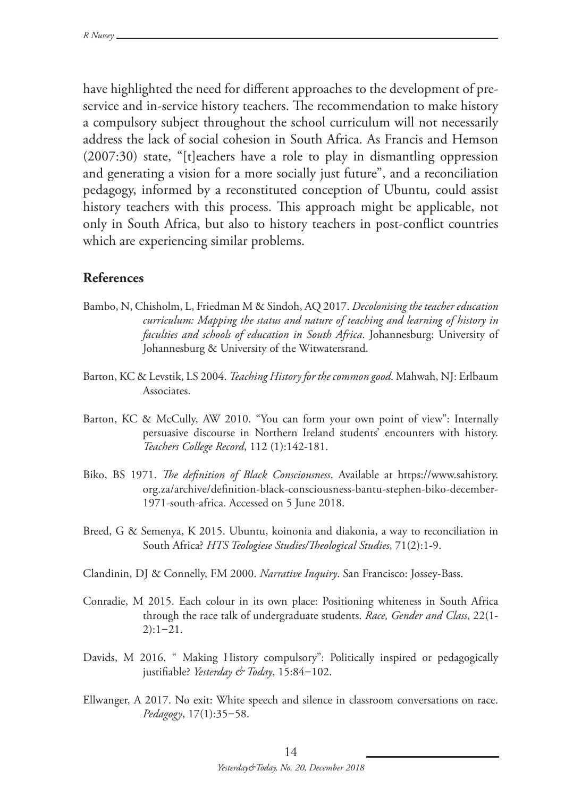have highlighted the need for different approaches to the development of preservice and in-service history teachers. The recommendation to make history a compulsory subject throughout the school curriculum will not necessarily address the lack of social cohesion in South Africa. As Francis and Hemson (2007:30) state, "[t]eachers have a role to play in dismantling oppression and generating a vision for a more socially just future", and a reconciliation pedagogy, informed by a reconstituted conception of Ubuntu*,* could assist history teachers with this process. This approach might be applicable, not only in South Africa, but also to history teachers in post-conflict countries which are experiencing similar problems.

#### **References**

- Bambo, N, Chisholm, L, Friedman M & Sindoh, AQ 2017. *Decolonising the teacher education curriculum: Mapping the status and nature of teaching and learning of history in faculties and schools of education in South Africa*. Johannesburg: University of Johannesburg & University of the Witwatersrand.
- Barton, KC & Levstik, LS 2004. *Teaching History for the common good*. Mahwah, NJ: Erlbaum Associates.
- Barton, KC & McCully, AW 2010. "You can form your own point of view": Internally persuasive discourse in Northern Ireland students' encounters with history. *Teachers College Record*, 112 (1):142-181.
- Biko, BS 1971. *The definition of Black Consciousness*. Available at https://www.sahistory. org.za/archive/definition-black-consciousness-bantu-stephen-biko-december-1971-south-africa. Accessed on 5 June 2018.
- Breed, G & Semenya, K 2015. Ubuntu, koinonia and diakonia, a way to reconciliation in South Africa? *HTS Teologiese Studies/Theological Studies*, 71(2):1-9.
- Clandinin, DJ & Connelly, FM 2000. *Narrative Inquiry*. San Francisco: Jossey-Bass.
- Conradie, M 2015. Each colour in its own place: Positioning whiteness in South Africa through the race talk of undergraduate students. *Race, Gender and Class*, 22(1-  $2):1-21.$
- Davids, M 2016. " Making History compulsory": Politically inspired or pedagogically justifiable? *Yesterday & Today*, 15:84–102.
- Ellwanger, A 2017. No exit: White speech and silence in classroom conversations on race. *Pedagogy*, 17(1):35–58.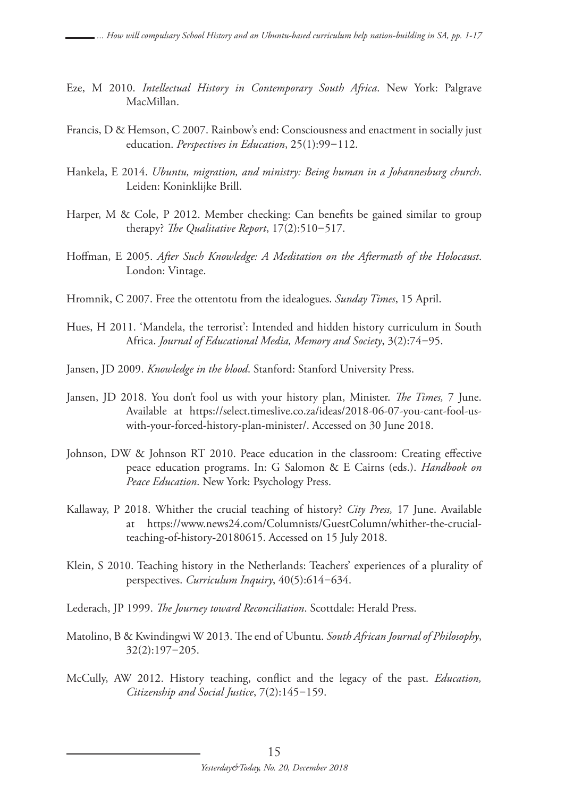- Eze, M 2010. *Intellectual History in Contemporary South Africa*. New York: Palgrave MacMillan.
- Francis, D & Hemson, C 2007. Rainbow's end: Consciousness and enactment in socially just education. *Perspectives in Education*, 25(1):99–112.
- Hankela, E 2014. *Ubuntu, migration, and ministry: Being human in a Johannesburg church*. Leiden: Koninklijke Brill.
- Harper, M & Cole, P 2012. Member checking: Can benefits be gained similar to group therapy? *The Qualitative Report*, 17(2):510–517.
- Hoffman, E 2005. *After Such Knowledge: A Meditation on the Aftermath of the Holocaust*. London: Vintage.
- Hromnik, C 2007. Free the ottentotu from the idealogues. *Sunday Times*, 15 April.
- Hues, H 2011. 'Mandela, the terrorist': Intended and hidden history curriculum in South Africa. *Journal of Educational Media, Memory and Society*, 3(2):74–95.
- Jansen, JD 2009. *Knowledge in the blood*. Stanford: Stanford University Press.
- Jansen, JD 2018. You don't fool us with your history plan, Minister. *The Times,* 7 June. Available at https://select.timeslive.co.za/ideas/2018-06-07-you-cant-fool-uswith-your-forced-history-plan-minister/. Accessed on 30 June 2018.
- Johnson, DW & Johnson RT 2010. Peace education in the classroom: Creating effective peace education programs. In: G Salomon & E Cairns (eds.). *Handbook on Peace Education*. New York: Psychology Press.
- Kallaway, P 2018. Whither the crucial teaching of history? *City Press,* 17 June. Available at https://www.news24.com/Columnists/GuestColumn/whither-the-crucialteaching-of-history-20180615. Accessed on 15 July 2018.
- Klein, S 2010. Teaching history in the Netherlands: Teachers' experiences of a plurality of perspectives. *Curriculum Inquiry*, 40(5):614–634.
- Lederach, JP 1999. *The Journey toward Reconciliation*. Scottdale: Herald Press.
- Matolino, B & Kwindingwi W 2013. The end of Ubuntu. *South African Journal of Philosophy*, 32(2):197–205.
- McCully, AW 2012. History teaching, conflict and the legacy of the past. *Education, Citizenship and Social Justice*, 7(2):145–159.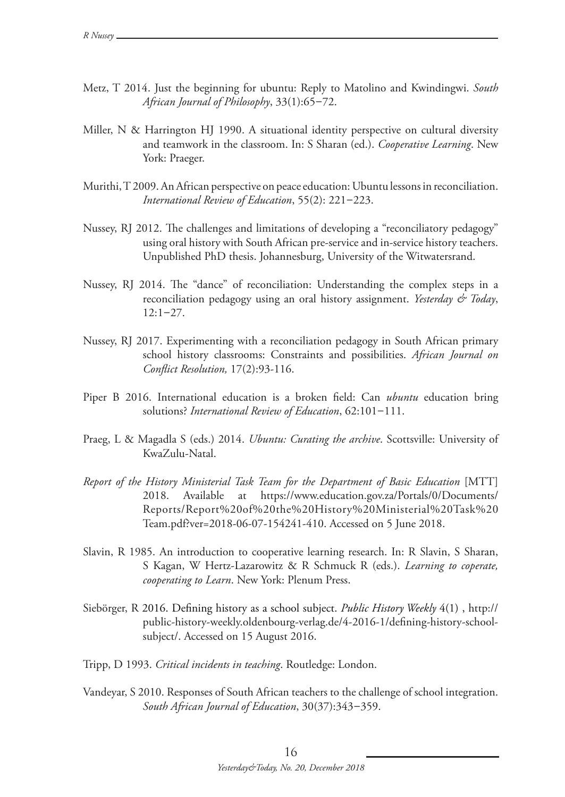- Metz, T 2014. Just the beginning for ubuntu: Reply to Matolino and Kwindingwi. *South African Journal of Philosophy*, 33(1):65–72.
- Miller, N & Harrington HJ 1990. A situational identity perspective on cultural diversity and teamwork in the classroom. In: S Sharan (ed.). *Cooperative Learning*. New York: Praeger.
- Murithi, T 2009. An African perspective on peace education: Ubuntu lessons in reconciliation. *International Review of Education*, 55(2): 221–223.
- Nussey, RJ 2012. The challenges and limitations of developing a "reconciliatory pedagogy" using oral history with South African pre-service and in-service history teachers. Unpublished PhD thesis. Johannesburg, University of the Witwatersrand.
- Nussey, RJ 2014. The "dance" of reconciliation: Understanding the complex steps in a reconciliation pedagogy using an oral history assignment. *Yesterday & Today*,  $12:1-27.$
- Nussey, RJ 2017. Experimenting with a reconciliation pedagogy in South African primary school history classrooms: Constraints and possibilities. *African Journal on Conflict Resolution,* 17(2):93-116.
- Piper B 2016. International education is a broken field: Can *ubuntu* education bring solutions? *International Review of Education*, 62:101–111.
- Praeg, L & Magadla S (eds.) 2014. *Ubuntu: Curating the archive*. Scottsville: University of KwaZulu-Natal.
- *Report of the History Ministerial Task Team for the Department of Basic Education* [MTT] 2018. Available at https://www.education.gov.za/Portals/0/Documents/ Reports/Report%20of%20the%20History%20Ministerial%20Task%20 Team.pdf?ver=2018-06-07-154241-410. Accessed on 5 June 2018.
- Slavin, R 1985. An introduction to cooperative learning research. In: R Slavin, S Sharan, S Kagan, W Hertz-Lazarowitz & R Schmuck R (eds.). *Learning to coperate, cooperating to Learn*. New York: Plenum Press.
- Siebörger, R 2016. Defining history as a school subject. *Public History Weekly* 4(1) , http:// public-history-weekly.oldenbourg-verlag.de/4-2016-1/defining-history-schoolsubject/. Accessed on 15 August 2016.
- Tripp, D 1993. *Critical incidents in teaching*. Routledge: London.
- Vandeyar, S 2010. Responses of South African teachers to the challenge of school integration. *South African Journal of Education*, 30(37):343–359.